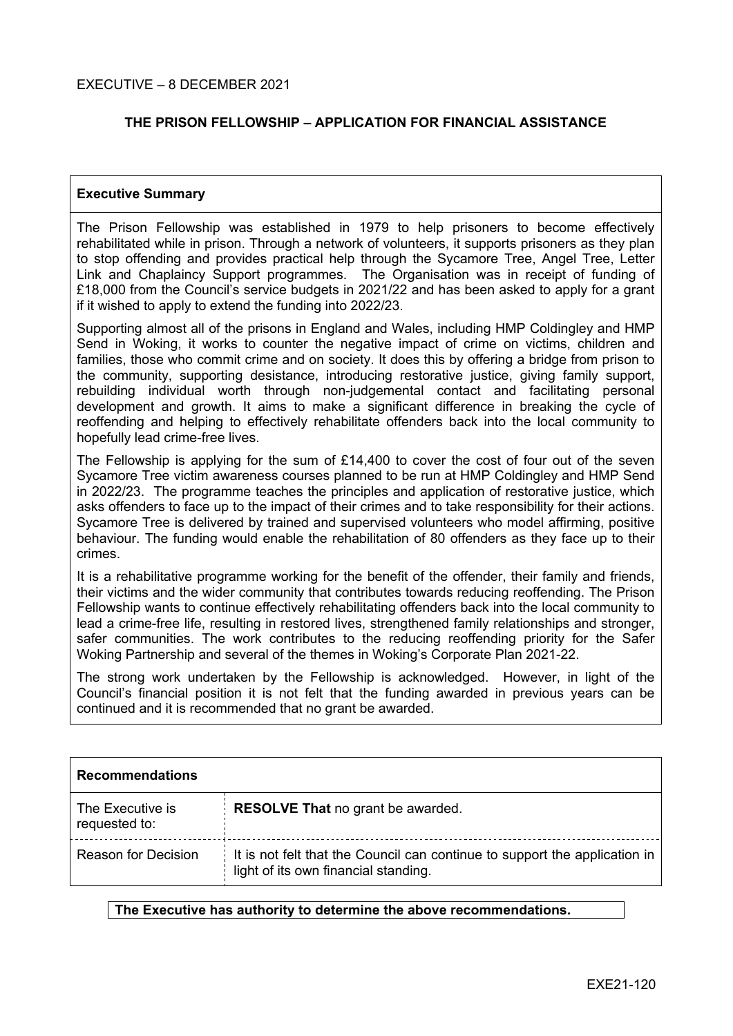## **THE PRISON FELLOWSHIP – APPLICATION FOR FINANCIAL ASSISTANCE**

#### **Executive Summary**

The Prison Fellowship was established in 1979 to help prisoners to become effectively rehabilitated while in prison. Through a network of volunteers, it supports prisoners as they plan to stop offending and provides practical help through the Sycamore Tree, Angel Tree, Letter Link and Chaplaincy Support programmes. The Organisation was in receipt of funding of £18,000 from the Council's service budgets in 2021/22 and has been asked to apply for a grant if it wished to apply to extend the funding into 2022/23.

Supporting almost all of the prisons in England and Wales, including HMP Coldingley and HMP Send in Woking, it works to counter the negative impact of crime on victims, children and families, those who commit crime and on society. It does this by offering a bridge from prison to the community, supporting desistance, introducing restorative justice, giving family support, rebuilding individual worth through non-judgemental contact and facilitating personal development and growth. It aims to make a significant difference in breaking the cycle of reoffending and helping to effectively rehabilitate offenders back into the local community to hopefully lead crime-free lives.

The Fellowship is applying for the sum of £14,400 to cover the cost of four out of the seven Sycamore Tree victim awareness courses planned to be run at HMP Coldingley and HMP Send in 2022/23. The programme teaches the principles and application of restorative justice, which asks offenders to face up to the impact of their crimes and to take responsibility for their actions. Sycamore Tree is delivered by trained and supervised volunteers who model affirming, positive behaviour. The funding would enable the rehabilitation of 80 offenders as they face up to their crimes.

It is a rehabilitative programme working for the benefit of the offender, their family and friends, their victims and the wider community that contributes towards reducing reoffending. The Prison Fellowship wants to continue effectively rehabilitating offenders back into the local community to lead a crime-free life, resulting in restored lives, strengthened family relationships and stronger, safer communities. The work contributes to the reducing reoffending priority for the Safer Woking Partnership and several of the themes in Woking's Corporate Plan 2021-22.

The strong work undertaken by the Fellowship is acknowledged. However, in light of the Council's financial position it is not felt that the funding awarded in previous years can be continued and it is recommended that no grant be awarded.

| <b>Recommendations</b>            |                                                                                                                    |  |
|-----------------------------------|--------------------------------------------------------------------------------------------------------------------|--|
| The Executive is<br>requested to: | <b>RESOLVE That no grant be awarded.</b>                                                                           |  |
| <b>Reason for Decision</b>        | It is not felt that the Council can continue to support the application in<br>light of its own financial standing. |  |

#### **The Executive has authority to determine the above recommendations.**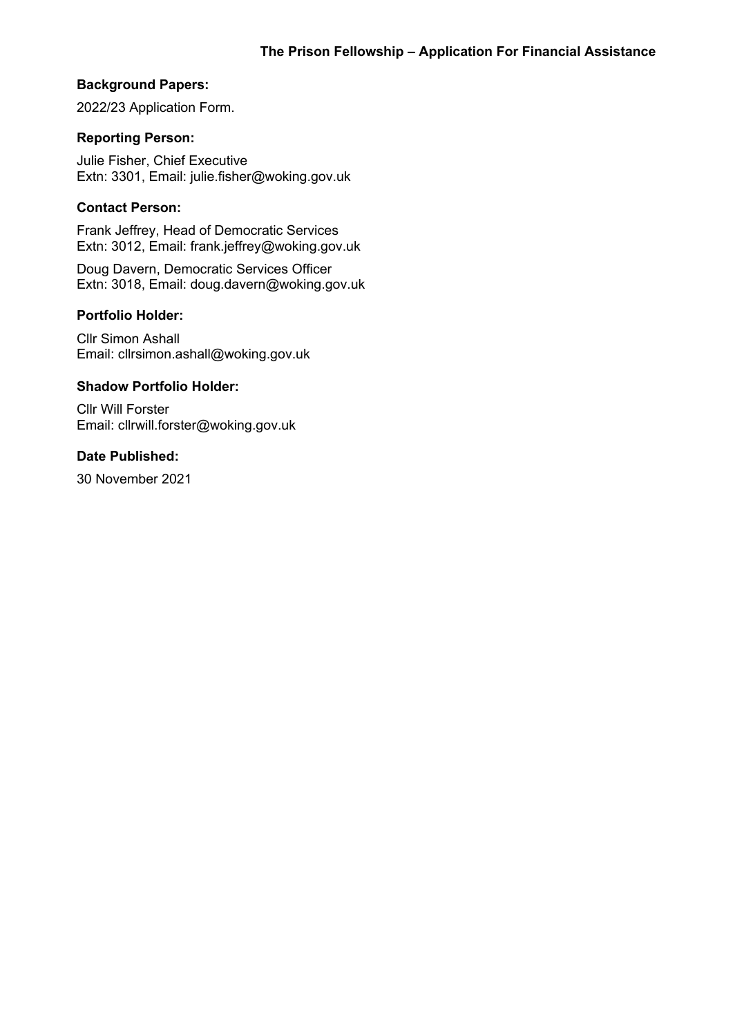# **Background Papers:**

2022/23 Application Form.

## **Reporting Person:**

Julie Fisher, Chief Executive Extn: 3301, Email: julie.fisher@woking.gov.uk

## **Contact Person:**

Frank Jeffrey, Head of Democratic Services Extn: 3012, Email: frank.jeffrey@woking.gov.uk

Doug Davern, Democratic Services Officer Extn: 3018, Email: doug.davern@woking.gov.uk

#### **Portfolio Holder:**

Cllr Simon Ashall Email: cllrsimon.ashall@woking.gov.uk

#### **Shadow Portfolio Holder:**

Cllr Will Forster Email: cllrwill.forster@woking.gov.uk

# **Date Published:**

30 November 2021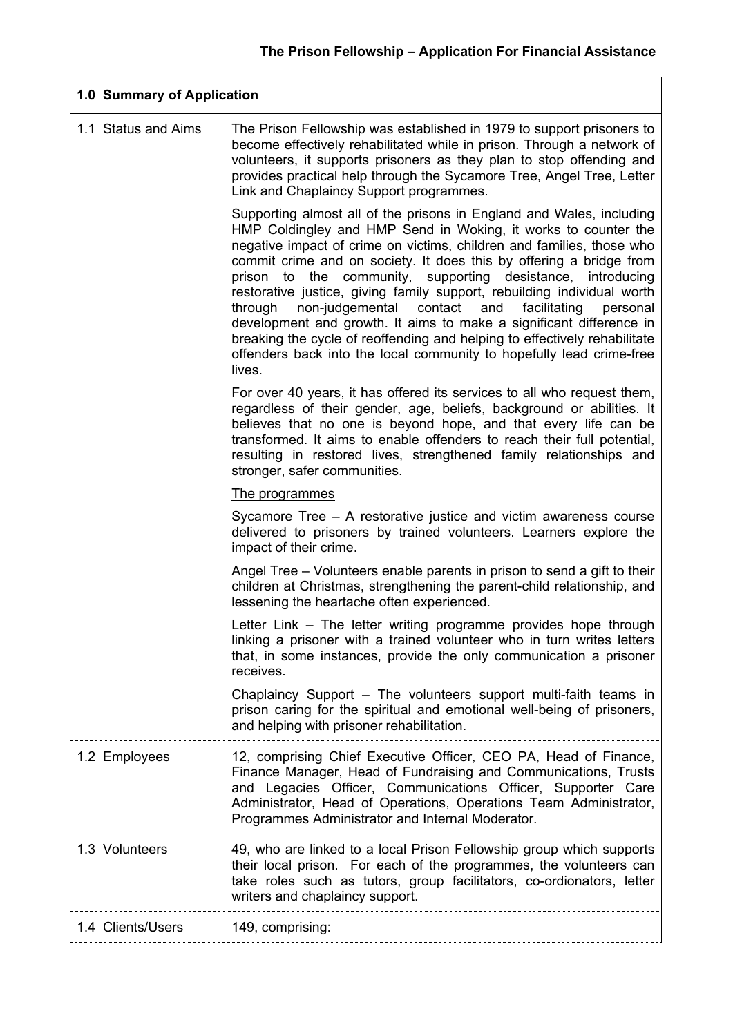| 1.0 Summary of Application |                                                                                                                                                                                                                                                                                                                                                                                                                                                                                                                                                                                                                                                                                                                                                 |  |  |  |
|----------------------------|-------------------------------------------------------------------------------------------------------------------------------------------------------------------------------------------------------------------------------------------------------------------------------------------------------------------------------------------------------------------------------------------------------------------------------------------------------------------------------------------------------------------------------------------------------------------------------------------------------------------------------------------------------------------------------------------------------------------------------------------------|--|--|--|
| 1.1 Status and Aims        | The Prison Fellowship was established in 1979 to support prisoners to<br>become effectively rehabilitated while in prison. Through a network of<br>volunteers, it supports prisoners as they plan to stop offending and<br>provides practical help through the Sycamore Tree, Angel Tree, Letter<br>Link and Chaplaincy Support programmes.                                                                                                                                                                                                                                                                                                                                                                                                     |  |  |  |
|                            | Supporting almost all of the prisons in England and Wales, including<br>HMP Coldingley and HMP Send in Woking, it works to counter the<br>negative impact of crime on victims, children and families, those who<br>commit crime and on society. It does this by offering a bridge from<br>prison to the community, supporting desistance, introducing<br>restorative justice, giving family support, rebuilding individual worth<br>through<br>non-judgemental contact<br>and<br>facilitating<br>personal<br>development and growth. It aims to make a significant difference in<br>breaking the cycle of reoffending and helping to effectively rehabilitate<br>offenders back into the local community to hopefully lead crime-free<br>lives. |  |  |  |
|                            | For over 40 years, it has offered its services to all who request them,<br>regardless of their gender, age, beliefs, background or abilities. It<br>believes that no one is beyond hope, and that every life can be<br>transformed. It aims to enable offenders to reach their full potential,<br>resulting in restored lives, strengthened family relationships and<br>stronger, safer communities.                                                                                                                                                                                                                                                                                                                                            |  |  |  |
|                            | The programmes                                                                                                                                                                                                                                                                                                                                                                                                                                                                                                                                                                                                                                                                                                                                  |  |  |  |
|                            | Sycamore Tree – A restorative justice and victim awareness course<br>delivered to prisoners by trained volunteers. Learners explore the<br>impact of their crime.                                                                                                                                                                                                                                                                                                                                                                                                                                                                                                                                                                               |  |  |  |
|                            | Angel Tree – Volunteers enable parents in prison to send a gift to their<br>children at Christmas, strengthening the parent-child relationship, and<br>lessening the heartache often experienced.                                                                                                                                                                                                                                                                                                                                                                                                                                                                                                                                               |  |  |  |
|                            | Letter Link - The letter writing programme provides hope through<br>linking a prisoner with a trained volunteer who in turn writes letters<br>that, in some instances, provide the only communication a prisoner<br>receives.                                                                                                                                                                                                                                                                                                                                                                                                                                                                                                                   |  |  |  |
|                            | Chaplaincy Support – The volunteers support multi-faith teams in<br>prison caring for the spiritual and emotional well-being of prisoners,<br>and helping with prisoner rehabilitation.                                                                                                                                                                                                                                                                                                                                                                                                                                                                                                                                                         |  |  |  |
| 1.2 Employees              | 12, comprising Chief Executive Officer, CEO PA, Head of Finance,<br>Finance Manager, Head of Fundraising and Communications, Trusts<br>and Legacies Officer, Communications Officer, Supporter Care<br>Administrator, Head of Operations, Operations Team Administrator,<br>Programmes Administrator and Internal Moderator.                                                                                                                                                                                                                                                                                                                                                                                                                    |  |  |  |
| 1.3 Volunteers             | 49, who are linked to a local Prison Fellowship group which supports<br>their local prison. For each of the programmes, the volunteers can<br>take roles such as tutors, group facilitators, co-ordionators, letter<br>writers and chaplaincy support.                                                                                                                                                                                                                                                                                                                                                                                                                                                                                          |  |  |  |
| 1.4 Clients/Users          | 149, comprising:                                                                                                                                                                                                                                                                                                                                                                                                                                                                                                                                                                                                                                                                                                                                |  |  |  |
|                            |                                                                                                                                                                                                                                                                                                                                                                                                                                                                                                                                                                                                                                                                                                                                                 |  |  |  |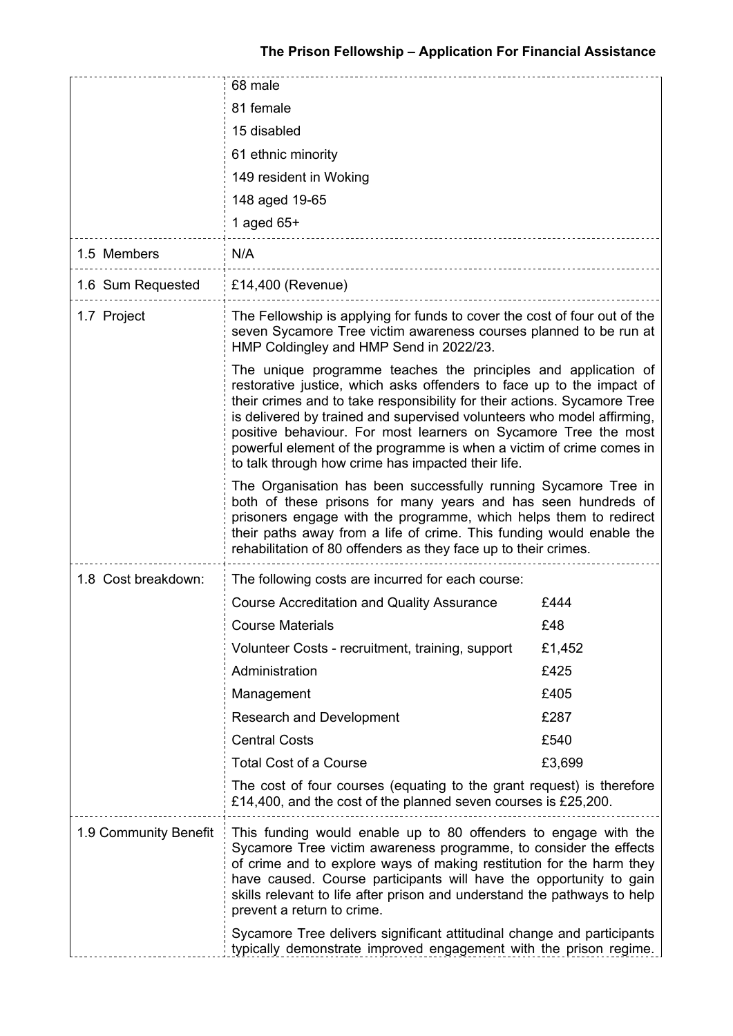|                       | 68 male                                                                                                                                                                                                                                                                                                                                                                                                                                                                                        |        |  |
|-----------------------|------------------------------------------------------------------------------------------------------------------------------------------------------------------------------------------------------------------------------------------------------------------------------------------------------------------------------------------------------------------------------------------------------------------------------------------------------------------------------------------------|--------|--|
|                       | 81 female                                                                                                                                                                                                                                                                                                                                                                                                                                                                                      |        |  |
|                       | 15 disabled                                                                                                                                                                                                                                                                                                                                                                                                                                                                                    |        |  |
|                       | 61 ethnic minority                                                                                                                                                                                                                                                                                                                                                                                                                                                                             |        |  |
|                       | 149 resident in Woking                                                                                                                                                                                                                                                                                                                                                                                                                                                                         |        |  |
|                       | 148 aged 19-65                                                                                                                                                                                                                                                                                                                                                                                                                                                                                 |        |  |
|                       | 1 aged $65+$                                                                                                                                                                                                                                                                                                                                                                                                                                                                                   |        |  |
| 1.5 Members           | N/A                                                                                                                                                                                                                                                                                                                                                                                                                                                                                            |        |  |
| 1.6 Sum Requested     | £14,400 (Revenue)                                                                                                                                                                                                                                                                                                                                                                                                                                                                              |        |  |
| 1.7 Project           | The Fellowship is applying for funds to cover the cost of four out of the<br>seven Sycamore Tree victim awareness courses planned to be run at<br>HMP Coldingley and HMP Send in 2022/23.                                                                                                                                                                                                                                                                                                      |        |  |
|                       | The unique programme teaches the principles and application of<br>restorative justice, which asks offenders to face up to the impact of<br>their crimes and to take responsibility for their actions. Sycamore Tree<br>is delivered by trained and supervised volunteers who model affirming,<br>positive behaviour. For most learners on Sycamore Tree the most<br>powerful element of the programme is when a victim of crime comes in<br>to talk through how crime has impacted their life. |        |  |
|                       | The Organisation has been successfully running Sycamore Tree in<br>both of these prisons for many years and has seen hundreds of<br>prisoners engage with the programme, which helps them to redirect<br>their paths away from a life of crime. This funding would enable the<br>rehabilitation of 80 offenders as they face up to their crimes.                                                                                                                                               |        |  |
| 1.8 Cost breakdown:   | The following costs are incurred for each course:                                                                                                                                                                                                                                                                                                                                                                                                                                              |        |  |
|                       | <b>Course Accreditation and Quality Assurance</b>                                                                                                                                                                                                                                                                                                                                                                                                                                              | £444   |  |
|                       | Course Materials                                                                                                                                                                                                                                                                                                                                                                                                                                                                               | £48    |  |
|                       | Volunteer Costs - recruitment, training, support                                                                                                                                                                                                                                                                                                                                                                                                                                               | £1,452 |  |
|                       | Administration                                                                                                                                                                                                                                                                                                                                                                                                                                                                                 | £425   |  |
|                       | Management                                                                                                                                                                                                                                                                                                                                                                                                                                                                                     | £405   |  |
|                       | Research and Development                                                                                                                                                                                                                                                                                                                                                                                                                                                                       | £287   |  |
|                       | <b>Central Costs</b>                                                                                                                                                                                                                                                                                                                                                                                                                                                                           | £540   |  |
|                       | <b>Total Cost of a Course</b>                                                                                                                                                                                                                                                                                                                                                                                                                                                                  | £3,699 |  |
|                       | The cost of four courses (equating to the grant request) is therefore<br>£14,400, and the cost of the planned seven courses is £25,200.                                                                                                                                                                                                                                                                                                                                                        |        |  |
| 1.9 Community Benefit | This funding would enable up to 80 offenders to engage with the<br>Sycamore Tree victim awareness programme, to consider the effects<br>of crime and to explore ways of making restitution for the harm they<br>have caused. Course participants will have the opportunity to gain<br>skills relevant to life after prison and understand the pathways to help<br>prevent a return to crime.                                                                                                   |        |  |
|                       | Sycamore Tree delivers significant attitudinal change and participants<br>typically demonstrate improved engagement with the prison regime.                                                                                                                                                                                                                                                                                                                                                    |        |  |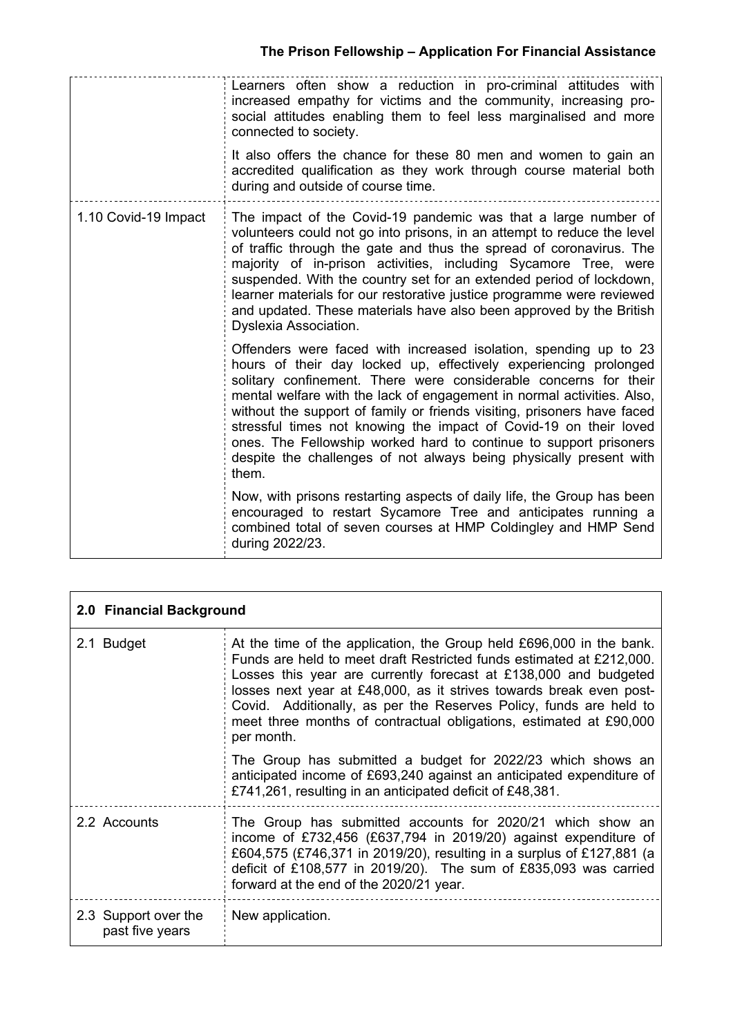|                      | Learners often show a reduction in pro-criminal attitudes with<br>increased empathy for victims and the community, increasing pro-<br>social attitudes enabling them to feel less marginalised and more<br>connected to society.<br>It also offers the chance for these 80 men and women to gain an<br>accredited qualification as they work through course material both<br>during and outside of course time.                                                                                                                                                                        |
|----------------------|----------------------------------------------------------------------------------------------------------------------------------------------------------------------------------------------------------------------------------------------------------------------------------------------------------------------------------------------------------------------------------------------------------------------------------------------------------------------------------------------------------------------------------------------------------------------------------------|
| 1.10 Covid-19 Impact | The impact of the Covid-19 pandemic was that a large number of<br>volunteers could not go into prisons, in an attempt to reduce the level<br>of traffic through the gate and thus the spread of coronavirus. The<br>majority of in-prison activities, including Sycamore Tree, were<br>suspended. With the country set for an extended period of lockdown,<br>learner materials for our restorative justice programme were reviewed<br>and updated. These materials have also been approved by the British<br><b>Dyslexia Association.</b>                                             |
|                      | Offenders were faced with increased isolation, spending up to 23<br>hours of their day locked up, effectively experiencing prolonged<br>solitary confinement. There were considerable concerns for their<br>mental welfare with the lack of engagement in normal activities. Also,<br>without the support of family or friends visiting, prisoners have faced<br>stressful times not knowing the impact of Covid-19 on their loved<br>ones. The Fellowship worked hard to continue to support prisoners<br>despite the challenges of not always being physically present with<br>them. |
|                      | Now, with prisons restarting aspects of daily life, the Group has been<br>encouraged to restart Sycamore Tree and anticipates running a<br>combined total of seven courses at HMP Coldingley and HMP Send<br>during 2022/23.                                                                                                                                                                                                                                                                                                                                                           |

| 2.0 Financial Background                |                                                                                                                                                                                                                                                                                                                                                                                                                                                   |  |  |
|-----------------------------------------|---------------------------------------------------------------------------------------------------------------------------------------------------------------------------------------------------------------------------------------------------------------------------------------------------------------------------------------------------------------------------------------------------------------------------------------------------|--|--|
| 2.1 Budget                              | At the time of the application, the Group held £696,000 in the bank.<br>Funds are held to meet draft Restricted funds estimated at £212,000.<br>Losses this year are currently forecast at £138,000 and budgeted<br>losses next year at £48,000, as it strives towards break even post-<br>Covid. Additionally, as per the Reserves Policy, funds are held to<br>meet three months of contractual obligations, estimated at £90,000<br>per month. |  |  |
|                                         | The Group has submitted a budget for 2022/23 which shows an<br>anticipated income of £693,240 against an anticipated expenditure of<br>£741,261, resulting in an anticipated deficit of £48,381.                                                                                                                                                                                                                                                  |  |  |
| 2.2 Accounts                            | The Group has submitted accounts for 2020/21 which show an<br>income of £732,456 (£637,794 in 2019/20) against expenditure of<br>£604,575 (£746,371 in 2019/20), resulting in a surplus of £127,881 (a<br>deficit of £108,577 in 2019/20). The sum of £835,093 was carried<br>forward at the end of the 2020/21 year.                                                                                                                             |  |  |
| 2.3 Support over the<br>past five years | New application.                                                                                                                                                                                                                                                                                                                                                                                                                                  |  |  |